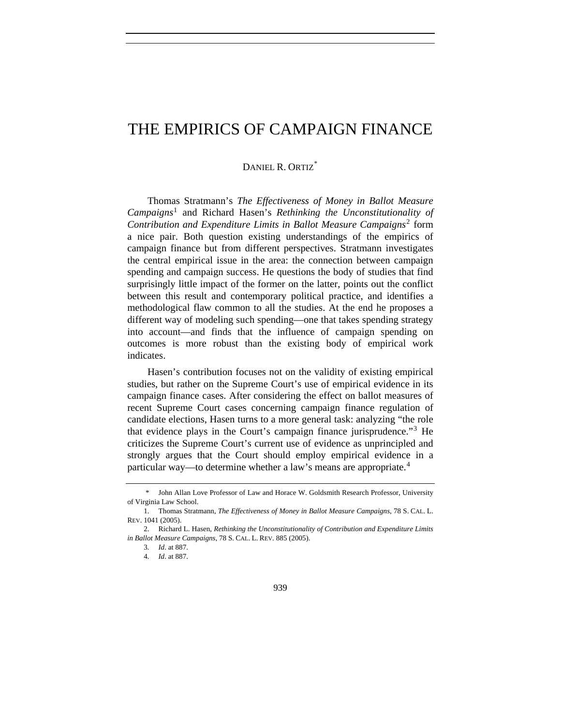## THE EMPIRICS OF CAMPAIGN FINANCE

## DANIEL R. ORTIZ<sup>[\\*](#page-0-0)</sup>

Thomas Stratmann's *The Effectiveness of Money in Ballot Measure Campaigns*[1](#page-0-1) and Richard Hasen's *Rethinking the Unconstitutionality of Contribution and Expenditure Limits in Ballot Measure Campaigns*[2](#page-0-2) form a nice pair. Both question existing understandings of the empirics of campaign finance but from different perspectives. Stratmann investigates the central empirical issue in the area: the connection between campaign spending and campaign success. He questions the body of studies that find surprisingly little impact of the former on the latter, points out the conflict between this result and contemporary political practice, and identifies a methodological flaw common to all the studies. At the end he proposes a different way of modeling such spending—one that takes spending strategy into account—and finds that the influence of campaign spending on outcomes is more robust than the existing body of empirical work indicates.

Hasen's contribution focuses not on the validity of existing empirical studies, but rather on the Supreme Court's use of empirical evidence in its campaign finance cases. After considering the effect on ballot measures of recent Supreme Court cases concerning campaign finance regulation of candidate elections, Hasen turns to a more general task: analyzing "the role that evidence plays in the Court's campaign finance jurisprudence."[3](#page-0-3) He criticizes the Supreme Court's current use of evidence as unprincipled and strongly argues that the Court should employ empirical evidence in a particular way—to determine whether a law's means are appropriate.<sup>[4](#page-0-4)</sup>

<span id="page-0-0"></span> <sup>\*</sup> John Allan Love Professor of Law and Horace W. Goldsmith Research Professor, University of Virginia Law School.

<span id="page-0-1"></span> <sup>1.</sup> Thomas Stratmann, *The Effectiveness of Money in Ballot Measure Campaigns*, 78 S. CAL. L. REV. 1041 (2005).

<span id="page-0-4"></span><span id="page-0-3"></span><span id="page-0-2"></span> <sup>2.</sup> Richard L. Hasen, *Rethinking the Unconstitutionality of Contribution and Expenditure Limits in Ballot Measure Campaigns*, 78 S. CAL. L. REV. 885 (2005).

<sup>3</sup>*. Id*. at 887.

<sup>4</sup>*. Id*. at 887.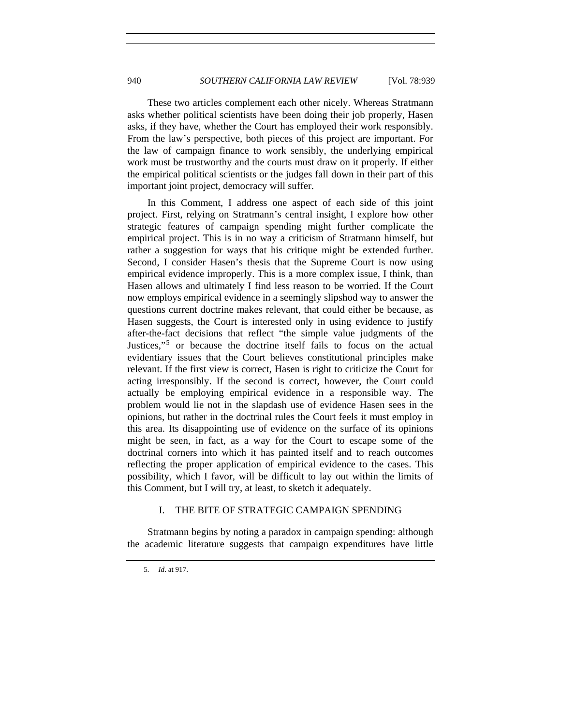These two articles complement each other nicely. Whereas Stratmann asks whether political scientists have been doing their job properly, Hasen asks, if they have, whether the Court has employed their work responsibly. From the law's perspective, both pieces of this project are important. For the law of campaign finance to work sensibly, the underlying empirical work must be trustworthy and the courts must draw on it properly. If either the empirical political scientists or the judges fall down in their part of this important joint project, democracy will suffer.

In this Comment, I address one aspect of each side of this joint project. First, relying on Stratmann's central insight, I explore how other strategic features of campaign spending might further complicate the empirical project. This is in no way a criticism of Stratmann himself, but rather a suggestion for ways that his critique might be extended further. Second, I consider Hasen's thesis that the Supreme Court is now using empirical evidence improperly. This is a more complex issue, I think, than Hasen allows and ultimately I find less reason to be worried. If the Court now employs empirical evidence in a seemingly slipshod way to answer the questions current doctrine makes relevant, that could either be because, as Hasen suggests, the Court is interested only in using evidence to justify after-the-fact decisions that reflect "the simple value judgments of the Justices,"[5](#page-1-0) or because the doctrine itself fails to focus on the actual evidentiary issues that the Court believes constitutional principles make relevant. If the first view is correct, Hasen is right to criticize the Court for acting irresponsibly. If the second is correct, however, the Court could actually be employing empirical evidence in a responsible way. The problem would lie not in the slapdash use of evidence Hasen sees in the opinions, but rather in the doctrinal rules the Court feels it must employ in this area. Its disappointing use of evidence on the surface of its opinions might be seen, in fact, as a way for the Court to escape some of the doctrinal corners into which it has painted itself and to reach outcomes reflecting the proper application of empirical evidence to the cases. This possibility, which I favor, will be difficult to lay out within the limits of this Comment, but I will try, at least, to sketch it adequately.

## I. THE BITE OF STRATEGIC CAMPAIGN SPENDING

<span id="page-1-0"></span>Stratmann begins by noting a paradox in campaign spending: although the academic literature suggests that campaign expenditures have little

<sup>5</sup>*. Id*. at 917.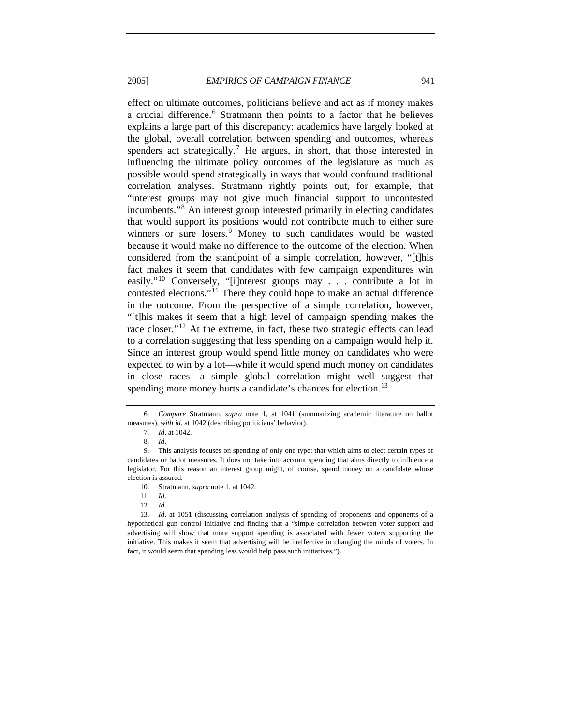2005] *EMPIRICS OF CAMPAIGN FINANCE* 941

effect on ultimate outcomes, politicians believe and act as if money makes a crucial difference.<sup>[6](#page-2-0)</sup> Stratmann then points to a factor that he believes explains a large part of this discrepancy: academics have largely looked at the global, overall correlation between spending and outcomes, whereas spenders act strategically.<sup>[7](#page-2-1)</sup> He argues, in short, that those interested in influencing the ultimate policy outcomes of the legislature as much as possible would spend strategically in ways that would confound traditional correlation analyses. Stratmann rightly points out, for example, that "interest groups may not give much financial support to uncontested incumbents."[8](#page-2-2) An interest group interested primarily in electing candidates that would support its positions would not contribute much to either sure winners or sure losers.<sup>[9](#page-2-3)</sup> Money to such candidates would be wasted because it would make no difference to the outcome of the election. When considered from the standpoint of a simple correlation, however, "[t]his fact makes it seem that candidates with few campaign expenditures win easily."<sup>[10](#page-2-4)</sup> Conversely, "[i]nterest groups may . . . contribute a lot in contested elections."[11](#page-2-5) There they could hope to make an actual difference in the outcome. From the perspective of a simple correlation, however, "[t]his makes it seem that a high level of campaign spending makes the race closer."<sup>[12](#page-2-6)</sup> At the extreme, in fact, these two strategic effects can lead to a correlation suggesting that less spending on a campaign would help it. Since an interest group would spend little money on candidates who were expected to win by a lot—while it would spend much money on candidates in close races—a simple global correlation might well suggest that spending more money hurts a candidate's chances for election.<sup>[13](#page-2-7)</sup>

<span id="page-2-0"></span><sup>6</sup>*. Compare* Stratmann, *supra* note 1, at 1041 (summarizing academic literature on ballot measures), *with id*. at 1042 (describing politicians' behavior).

<sup>7</sup>*. Id*. at 1042.

<sup>8</sup>*. Id*.

<span id="page-2-3"></span><span id="page-2-2"></span><span id="page-2-1"></span> <sup>9.</sup> This analysis focuses on spending of only one type: that which aims to elect certain types of candidates or ballot measures. It does not take into account spending that aims directly to influence a legislator. For this reason an interest group might, of course, spend money on a candidate whose election is assured.

 <sup>10.</sup> Stratmann, *supra* note 1, at 1042.

<sup>11</sup>*. Id*.

<sup>12</sup>*. Id*.

<span id="page-2-7"></span><span id="page-2-6"></span><span id="page-2-5"></span><span id="page-2-4"></span><sup>13</sup>*. Id*. at 1051 (discussing correlation analysis of spending of proponents and opponents of a hypothetical gun control initiative and finding that a "simple correlation between voter support and advertising will show that more support spending is associated with fewer voters supporting the initiative. This makes it seem that advertising will be ineffective in changing the minds of voters. In fact, it would seem that spending less would help pass such initiatives.").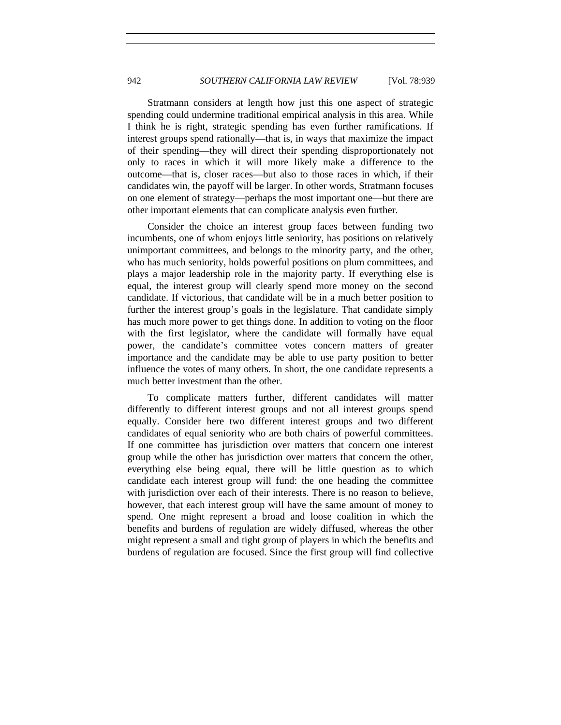Stratmann considers at length how just this one aspect of strategic spending could undermine traditional empirical analysis in this area. While I think he is right, strategic spending has even further ramifications. If interest groups spend rationally—that is, in ways that maximize the impact of their spending—they will direct their spending disproportionately not only to races in which it will more likely make a difference to the outcome—that is, closer races—but also to those races in which, if their candidates win, the payoff will be larger. In other words, Stratmann focuses on one element of strategy—perhaps the most important one—but there are other important elements that can complicate analysis even further.

Consider the choice an interest group faces between funding two incumbents, one of whom enjoys little seniority, has positions on relatively unimportant committees, and belongs to the minority party, and the other, who has much seniority, holds powerful positions on plum committees, and plays a major leadership role in the majority party. If everything else is equal, the interest group will clearly spend more money on the second candidate. If victorious, that candidate will be in a much better position to further the interest group's goals in the legislature. That candidate simply has much more power to get things done. In addition to voting on the floor with the first legislator, where the candidate will formally have equal power, the candidate's committee votes concern matters of greater importance and the candidate may be able to use party position to better influence the votes of many others. In short, the one candidate represents a much better investment than the other.

To complicate matters further, different candidates will matter differently to different interest groups and not all interest groups spend equally. Consider here two different interest groups and two different candidates of equal seniority who are both chairs of powerful committees. If one committee has jurisdiction over matters that concern one interest group while the other has jurisdiction over matters that concern the other, everything else being equal, there will be little question as to which candidate each interest group will fund: the one heading the committee with jurisdiction over each of their interests. There is no reason to believe, however, that each interest group will have the same amount of money to spend. One might represent a broad and loose coalition in which the benefits and burdens of regulation are widely diffused, whereas the other might represent a small and tight group of players in which the benefits and burdens of regulation are focused. Since the first group will find collective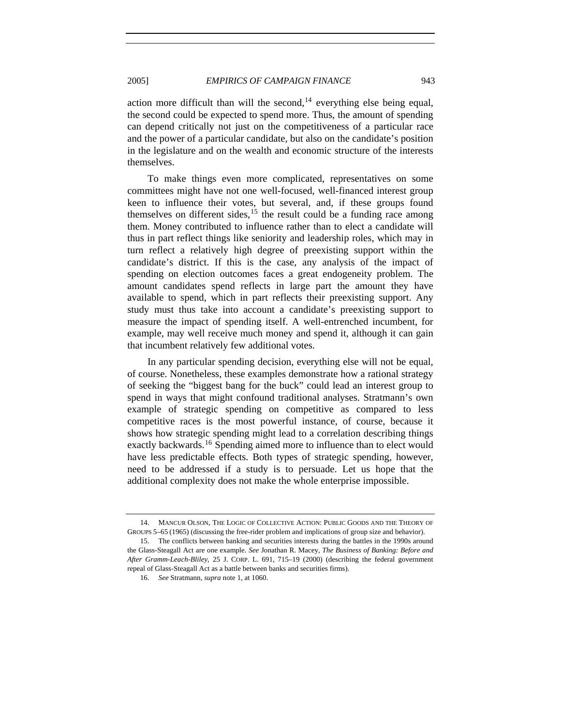action more difficult than will the second, $14$  everything else being equal, the second could be expected to spend more. Thus, the amount of spending can depend critically not just on the competitiveness of a particular race and the power of a particular candidate, but also on the candidate's position in the legislature and on the wealth and economic structure of the interests themselves.

To make things even more complicated, representatives on some committees might have not one well-focused, well-financed interest group keen to influence their votes, but several, and, if these groups found themselves on different sides,  $15$  the result could be a funding race among them. Money contributed to influence rather than to elect a candidate will thus in part reflect things like seniority and leadership roles, which may in turn reflect a relatively high degree of preexisting support within the candidate's district. If this is the case, any analysis of the impact of spending on election outcomes faces a great endogeneity problem. The amount candidates spend reflects in large part the amount they have available to spend, which in part reflects their preexisting support. Any study must thus take into account a candidate's preexisting support to measure the impact of spending itself. A well-entrenched incumbent, for example, may well receive much money and spend it, although it can gain that incumbent relatively few additional votes.

In any particular spending decision, everything else will not be equal, of course. Nonetheless, these examples demonstrate how a rational strategy of seeking the "biggest bang for the buck" could lead an interest group to spend in ways that might confound traditional analyses. Stratmann's own example of strategic spending on competitive as compared to less competitive races is the most powerful instance, of course, because it shows how strategic spending might lead to a correlation describing things exactly backwards.<sup>[16](#page-4-2)</sup> Spending aimed more to influence than to elect would have less predictable effects. Both types of strategic spending, however, need to be addressed if a study is to persuade. Let us hope that the additional complexity does not make the whole enterprise impossible.

<span id="page-4-0"></span> <sup>14.</sup> MANCUR OLSON, THE LOGIC OF COLLECTIVE ACTION: PUBLIC GOODS AND THE THEORY OF GROUPS 5–65 (1965) (discussing the free-rider problem and implications of group size and behavior).

<span id="page-4-2"></span><span id="page-4-1"></span> <sup>15.</sup> The conflicts between banking and securities interests during the battles in the 1990s around the Glass-Steagall Act are one example. *See* Jonathan R. Macey, *The Business of Banking: Before and After Gramm-Leach-Bliley*, 25 J. CORP. L. 691, 715–19 (2000) (describing the federal government repeal of Glass-Steagall Act as a battle between banks and securities firms).

<sup>16</sup>*. See* Stratmann, *supra* note 1, at 1060.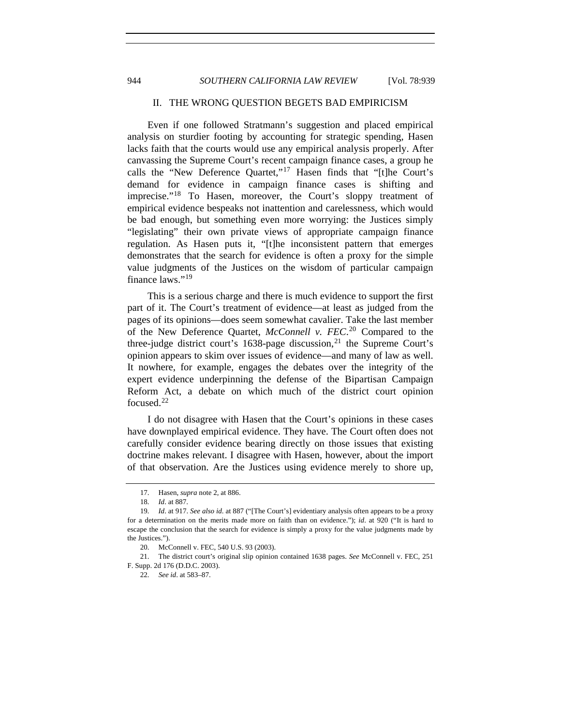## II. THE WRONG QUESTION BEGETS BAD EMPIRICISM

Even if one followed Stratmann's suggestion and placed empirical analysis on sturdier footing by accounting for strategic spending, Hasen lacks faith that the courts would use any empirical analysis properly. After canvassing the Supreme Court's recent campaign finance cases, a group he calls the "New Deference Quartet,"[17](#page-5-0) Hasen finds that "[t]he Court's demand for evidence in campaign finance cases is shifting and imprecise."[18](#page-5-1) To Hasen, moreover, the Court's sloppy treatment of empirical evidence bespeaks not inattention and carelessness, which would be bad enough, but something even more worrying: the Justices simply "legislating" their own private views of appropriate campaign finance regulation. As Hasen puts it, "[t]he inconsistent pattern that emerges demonstrates that the search for evidence is often a proxy for the simple value judgments of the Justices on the wisdom of particular campaign finance laws."[19](#page-5-2)

This is a serious charge and there is much evidence to support the first part of it. The Court's treatment of evidence—at least as judged from the pages of its opinions—does seem somewhat cavalier. Take the last member of the New Deference Quartet, *McConnell v. FEC*. [20](#page-5-3) Compared to the three-judge district court's  $1638$ -page discussion,<sup>[21](#page-5-4)</sup> the Supreme Court's opinion appears to skim over issues of evidence—and many of law as well. It nowhere, for example, engages the debates over the integrity of the expert evidence underpinning the defense of the Bipartisan Campaign Reform Act, a debate on which much of the district court opinion focused.[22](#page-5-5)

I do not disagree with Hasen that the Court's opinions in these cases have downplayed empirical evidence. They have. The Court often does not carefully consider evidence bearing directly on those issues that existing doctrine makes relevant. I disagree with Hasen, however, about the import of that observation. Are the Justices using evidence merely to shore up,

 <sup>17.</sup> Hasen, *supra* note 2, at 886.

<sup>18</sup>*. Id*. at 887.

<span id="page-5-2"></span><span id="page-5-1"></span><span id="page-5-0"></span><sup>19</sup>*. Id*. at 917. *See also id*. at 887 ("[The Court's] evidentiary analysis often appears to be a proxy for a determination on the merits made more on faith than on evidence."); *id*. at 920 ("It is hard to escape the conclusion that the search for evidence is simply a proxy for the value judgments made by the Justices.").

 <sup>20.</sup> McConnell v. FEC, 540 U.S. 93 (2003).

<span id="page-5-5"></span><span id="page-5-4"></span><span id="page-5-3"></span> <sup>21.</sup> The district court's original slip opinion contained 1638 pages. *See* McConnell v. FEC, 251 F. Supp. 2d 176 (D.D.C. 2003).

<sup>22</sup>*. See id*. at 583–87.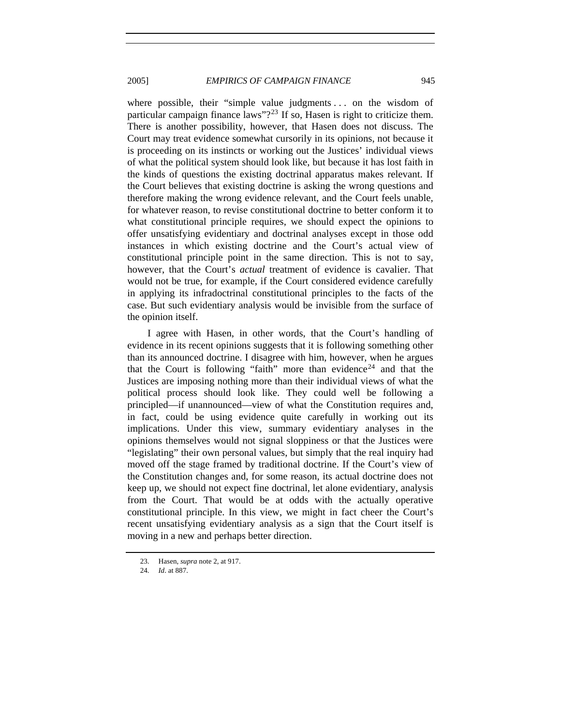2005] *EMPIRICS OF CAMPAIGN FINANCE* 945

where possible, their "simple value judgments ... on the wisdom of particular campaign finance laws" $2^{23}$  $2^{23}$  $2^{23}$  If so, Hasen is right to criticize them. There is another possibility, however, that Hasen does not discuss. The Court may treat evidence somewhat cursorily in its opinions, not because it is proceeding on its instincts or working out the Justices' individual views of what the political system should look like, but because it has lost faith in the kinds of questions the existing doctrinal apparatus makes relevant. If the Court believes that existing doctrine is asking the wrong questions and therefore making the wrong evidence relevant, and the Court feels unable, for whatever reason, to revise constitutional doctrine to better conform it to what constitutional principle requires, we should expect the opinions to offer unsatisfying evidentiary and doctrinal analyses except in those odd instances in which existing doctrine and the Court's actual view of constitutional principle point in the same direction. This is not to say, however, that the Court's *actual* treatment of evidence is cavalier. That would not be true, for example, if the Court considered evidence carefully in applying its infradoctrinal constitutional principles to the facts of the case. But such evidentiary analysis would be invisible from the surface of the opinion itself.

I agree with Hasen, in other words, that the Court's handling of evidence in its recent opinions suggests that it is following something other than its announced doctrine. I disagree with him, however, when he argues that the Court is following "faith" more than evidence<sup>[24](#page-6-1)</sup> and that the Justices are imposing nothing more than their individual views of what the political process should look like. They could well be following a principled—if unannounced—view of what the Constitution requires and, in fact, could be using evidence quite carefully in working out its implications. Under this view, summary evidentiary analyses in the opinions themselves would not signal sloppiness or that the Justices were "legislating" their own personal values, but simply that the real inquiry had moved off the stage framed by traditional doctrine. If the Court's view of the Constitution changes and, for some reason, its actual doctrine does not keep up, we should not expect fine doctrinal, let alone evidentiary, analysis from the Court. That would be at odds with the actually operative constitutional principle. In this view, we might in fact cheer the Court's recent unsatisfying evidentiary analysis as a sign that the Court itself is moving in a new and perhaps better direction.

<span id="page-6-1"></span><span id="page-6-0"></span> <sup>23.</sup> Hasen, *supra* note 2, at 917.

<sup>24</sup>*. Id*. at 887.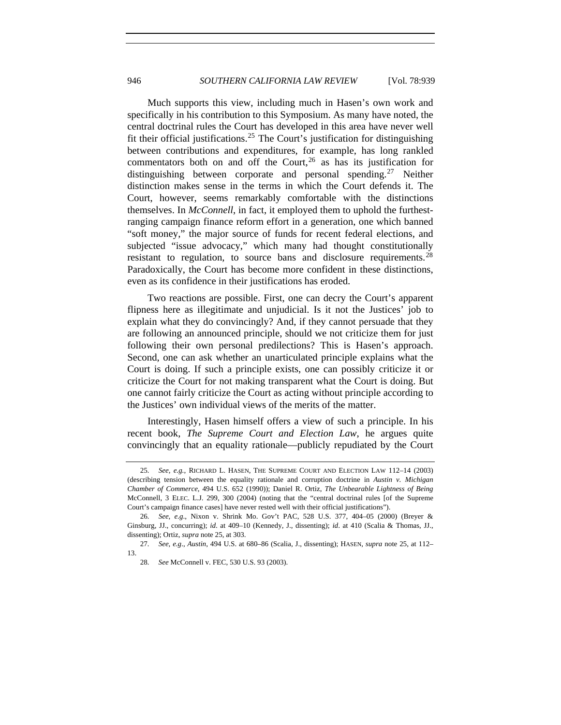Much supports this view, including much in Hasen's own work and specifically in his contribution to this Symposium. As many have noted, the central doctrinal rules the Court has developed in this area have never well fit their official justifications.<sup>[25](#page-7-0)</sup> The Court's justification for distinguishing between contributions and expenditures, for example, has long rankled commentators both on and off the Court,  $26$  as has its justification for distinguishing between corporate and personal spending.[27](#page-7-2) Neither distinction makes sense in the terms in which the Court defends it. The Court, however, seems remarkably comfortable with the distinctions themselves. In *McConnell*, in fact, it employed them to uphold the furthestranging campaign finance reform effort in a generation, one which banned "soft money," the major source of funds for recent federal elections, and subjected "issue advocacy," which many had thought constitutionally resistant to regulation, to source bans and disclosure requirements.<sup>[28](#page-7-3)</sup> Paradoxically, the Court has become more confident in these distinctions, even as its confidence in their justifications has eroded.

Two reactions are possible. First, one can decry the Court's apparent flipness here as illegitimate and unjudicial. Is it not the Justices' job to explain what they do convincingly? And, if they cannot persuade that they are following an announced principle, should we not criticize them for just following their own personal predilections? This is Hasen's approach. Second, one can ask whether an unarticulated principle explains what the Court is doing. If such a principle exists, one can possibly criticize it or criticize the Court for not making transparent what the Court is doing. But one cannot fairly criticize the Court as acting without principle according to the Justices' own individual views of the merits of the matter.

Interestingly, Hasen himself offers a view of such a principle. In his recent book, *The Supreme Court and Election Law*, he argues quite convincingly that an equality rationale—publicly repudiated by the Court

<span id="page-7-0"></span><sup>25</sup>*. See, e.g.*, RICHARD L. HASEN, THE SUPREME COURT AND ELECTION LAW 112–14 (2003) (describing tension between the equality rationale and corruption doctrine in *Austin v. Michigan Chamber of Commerce*, 494 U.S. 652 (1990)); Daniel R. Ortiz, *The Unbearable Lightness of Being* McConnell, 3 ELEC. L.J. 299, 300 (2004) (noting that the "central doctrinal rules [of the Supreme Court's campaign finance cases] have never rested well with their official justifications").

<span id="page-7-1"></span><sup>26</sup>*. See, e.g*., Nixon v. Shrink Mo. Gov't PAC, 528 U.S. 377, 404–05 (2000) (Breyer & Ginsburg, JJ., concurring); *id*. at 409–10 (Kennedy, J., dissenting); *id*. at 410 (Scalia & Thomas, JJ., dissenting); Ortiz, *supra* note 25, at 303.

<span id="page-7-3"></span><span id="page-7-2"></span><sup>27</sup>*. See, e.g*., *Austin*, 494 U.S. at 680–86 (Scalia, J., dissenting); HASEN, *supra* note 25, at 112– 13.

<sup>28</sup>*. See* McConnell v. FEC, 530 U.S. 93 (2003).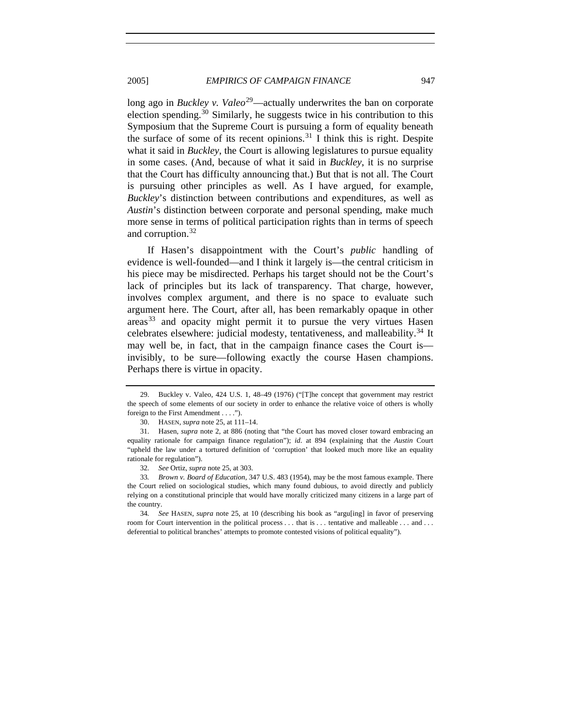long ago in *Buckley v. Valeo*<sup>[29](#page-8-0)</sup>—actually underwrites the ban on corporate election spending.<sup>[30](#page-8-1)</sup> Similarly, he suggests twice in his contribution to this Symposium that the Supreme Court is pursuing a form of equality beneath the surface of some of its recent opinions.<sup>[31](#page-8-2)</sup> I think this is right. Despite what it said in *Buckley*, the Court is allowing legislatures to pursue equality in some cases. (And, because of what it said in *Buckley*, it is no surprise that the Court has difficulty announcing that.) But that is not all. The Court is pursuing other principles as well. As I have argued, for example, *Buckley*'s distinction between contributions and expenditures, as well as *Austin*'s distinction between corporate and personal spending, make much more sense in terms of political participation rights than in terms of speech and corruption.[32](#page-8-3)

If Hasen's disappointment with the Court's *public* handling of evidence is well-founded—and I think it largely is—the central criticism in his piece may be misdirected. Perhaps his target should not be the Court's lack of principles but its lack of transparency. That charge, however, involves complex argument, and there is no space to evaluate such argument here. The Court, after all, has been remarkably opaque in other  $\arccos^{33}$  $\arccos^{33}$  $\arccos^{33}$  and opacity might permit it to pursue the very virtues Hasen celebrates elsewhere: judicial modesty, tentativeness, and malleability.<sup>[34](#page-8-5)</sup> It may well be, in fact, that in the campaign finance cases the Court is invisibly, to be sure—following exactly the course Hasen champions. Perhaps there is virtue in opacity.

<span id="page-8-0"></span> <sup>29.</sup> Buckley v. Valeo, 424 U.S. 1, 48–49 (1976) ("[T]he concept that government may restrict the speech of some elements of our society in order to enhance the relative voice of others is wholly foreign to the First Amendment . . . .").

 <sup>30.</sup> HASEN, *supra* note 25, at 111–14.

<span id="page-8-2"></span><span id="page-8-1"></span> <sup>31.</sup> Hasen, *supra* note 2, at 886 (noting that "the Court has moved closer toward embracing an equality rationale for campaign finance regulation"); *id*. at 894 (explaining that the *Austin* Court "upheld the law under a tortured definition of 'corruption' that looked much more like an equality rationale for regulation").

<sup>32</sup>*. See* Ortiz, *supra* note 25, at 303.

<span id="page-8-4"></span><span id="page-8-3"></span><sup>33</sup>*. Brown v. Board of Education*, 347 U.S. 483 (1954), may be the most famous example. There the Court relied on sociological studies, which many found dubious, to avoid directly and publicly relying on a constitutional principle that would have morally criticized many citizens in a large part of the country.

<span id="page-8-5"></span><sup>34</sup>*. See* HASEN, *supra* note 25, at 10 (describing his book as "argu[ing] in favor of preserving room for Court intervention in the political process . . . that is . . . tentative and malleable . . . and . . . deferential to political branches' attempts to promote contested visions of political equality").